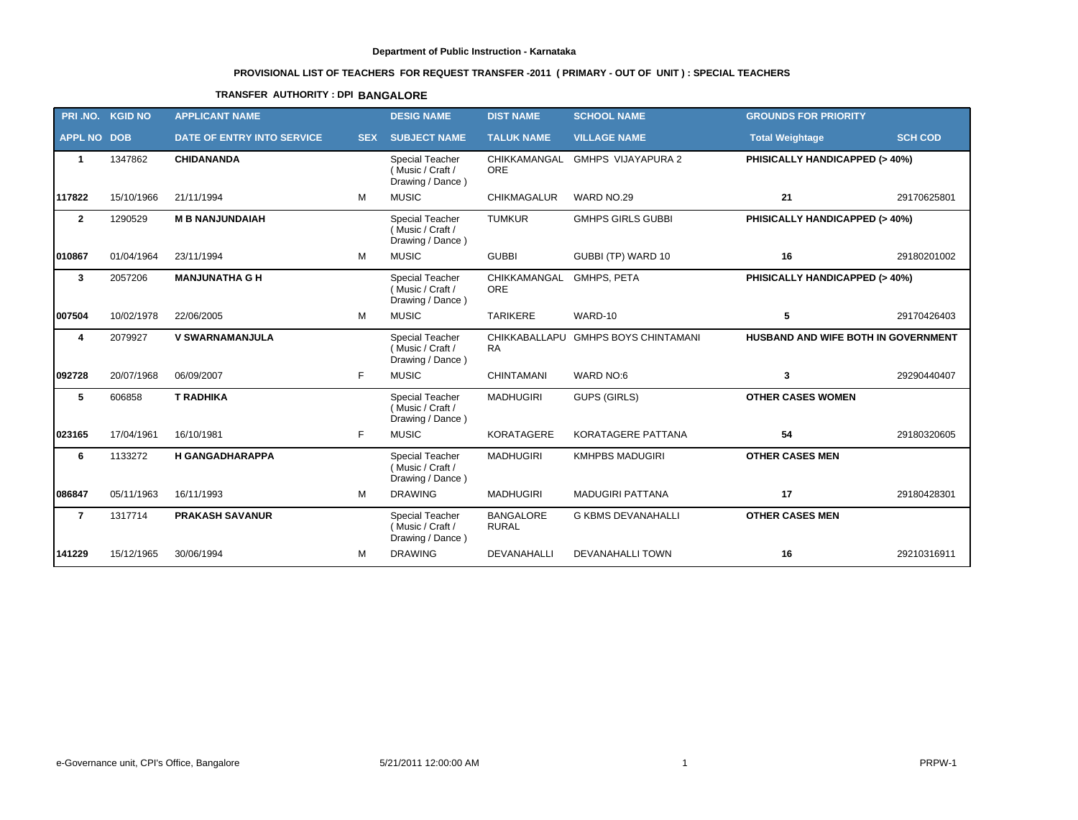# **PROVISIONAL LIST OF TEACHERS FOR REQUEST TRANSFER -2011 ( PRIMARY - OUT OF UNIT ) : SPECIAL TEACHERS**

## **TRANSFER AUTHORITY : DPI BANGALORE**

| PRI .NO.           | <b>KGID NO</b> | <b>APPLICANT NAME</b>      |            | <b>DESIG NAME</b>                                              | <b>DIST NAME</b>                 | <b>SCHOOL NAME</b>                  | <b>GROUNDS FOR PRIORITY</b>         |                |
|--------------------|----------------|----------------------------|------------|----------------------------------------------------------------|----------------------------------|-------------------------------------|-------------------------------------|----------------|
| <b>APPL NO DOB</b> |                | DATE OF ENTRY INTO SERVICE | <b>SEX</b> | <b>SUBJECT NAME</b>                                            | <b>TALUK NAME</b>                | <b>VILLAGE NAME</b>                 | <b>Total Weightage</b>              | <b>SCH COD</b> |
| $\mathbf{1}$       | 1347862        | <b>CHIDANANDA</b>          |            | Special Teacher<br>(Music / Craft /<br>Drawing / Dance)        | CHIKKAMANGAL<br><b>ORE</b>       | GMHPS VIJAYAPURA 2                  | PHISICALLY HANDICAPPED (> 40%)      |                |
| 117822             | 15/10/1966     | 21/11/1994                 | м          | <b>MUSIC</b>                                                   | <b>CHIKMAGALUR</b>               | WARD NO.29                          | 21                                  | 29170625801    |
| $\overline{2}$     | 1290529        | <b>M B NANJUNDAIAH</b>     |            | Special Teacher<br>(Music / Craft /<br>Drawing / Dance)        | <b>TUMKUR</b>                    | <b>GMHPS GIRLS GUBBI</b>            | PHISICALLY HANDICAPPED (> 40%)      |                |
| 010867             | 01/04/1964     | 23/11/1994                 | м          | <b>MUSIC</b>                                                   | <b>GUBBI</b>                     | GUBBI (TP) WARD 10                  | 16                                  | 29180201002    |
| 3                  | 2057206        | <b>MANJUNATHA G H</b>      |            | <b>Special Teacher</b><br>(Music / Craft /<br>Drawing / Dance) | CHIKKAMANGAL<br><b>ORE</b>       | <b>GMHPS, PETA</b>                  | PHISICALLY HANDICAPPED (> 40%)      |                |
| 007504             | 10/02/1978     | 22/06/2005                 | м          | <b>MUSIC</b>                                                   | <b>TARIKERE</b>                  | WARD-10                             | 5                                   | 29170426403    |
| 4                  | 2079927        | <b>V SWARNAMANJULA</b>     |            | <b>Special Teacher</b><br>(Music / Craft /<br>Drawing / Dance) | <b>RA</b>                        | CHIKKABALLAPU GMHPS BOYS CHINTAMANI | HUSBAND AND WIFE BOTH IN GOVERNMENT |                |
| 092728             | 20/07/1968     | 06/09/2007                 | F.         | <b>MUSIC</b>                                                   | <b>CHINTAMANI</b>                | WARD NO:6                           | 3                                   | 29290440407    |
| 5                  | 606858         | <b>T RADHIKA</b>           |            | Special Teacher<br>(Music / Craft /<br>Drawing / Dance)        | <b>MADHUGIRI</b>                 | <b>GUPS (GIRLS)</b>                 | <b>OTHER CASES WOMEN</b>            |                |
| 023165             | 17/04/1961     | 16/10/1981                 | F          | <b>MUSIC</b>                                                   | KORATAGERE                       | KORATAGERE PATTANA                  | 54                                  | 29180320605    |
| 6                  | 1133272        | <b>H GANGADHARAPPA</b>     |            | Special Teacher<br>(Music / Craft /<br>Drawing / Dance)        | <b>MADHUGIRI</b>                 | <b>KMHPBS MADUGIRI</b>              | <b>OTHER CASES MEN</b>              |                |
| 086847             | 05/11/1963     | 16/11/1993                 | M          | <b>DRAWING</b>                                                 | <b>MADHUGIRI</b>                 | <b>MADUGIRI PATTANA</b>             | 17                                  | 29180428301    |
| $\overline{7}$     | 1317714        | <b>PRAKASH SAVANUR</b>     |            | Special Teacher<br>(Music / Craft /<br>Drawing / Dance)        | <b>BANGALORE</b><br><b>RURAL</b> | <b>G KBMS DEVANAHALLI</b>           | <b>OTHER CASES MEN</b>              |                |
| 141229             | 15/12/1965     | 30/06/1994                 | м          | <b>DRAWING</b>                                                 | <b>DEVANAHALLI</b>               | <b>DEVANAHALLI TOWN</b>             | 16                                  | 29210316911    |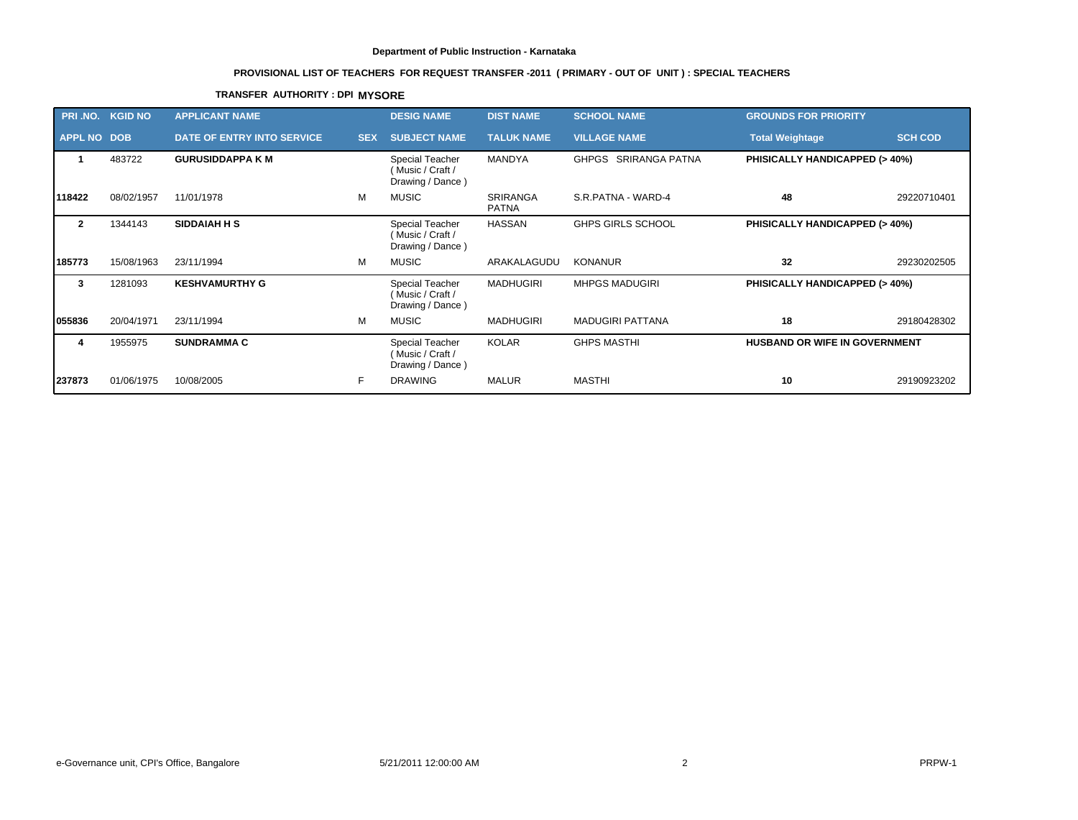# **PROVISIONAL LIST OF TEACHERS FOR REQUEST TRANSFER -2011 ( PRIMARY - OUT OF UNIT ) : SPECIAL TEACHERS**

## **TRANSFER AUTHORITY : DPI MYSORE**

|                    | PRI.NO. KGID NO | <b>APPLICANT NAME</b>             |            | <b>DESIG NAME</b>                                      | <b>DIST NAME</b>                | <b>SCHOOL NAME</b>       | <b>GROUNDS FOR PRIORITY</b>              |                |
|--------------------|-----------------|-----------------------------------|------------|--------------------------------------------------------|---------------------------------|--------------------------|------------------------------------------|----------------|
| <b>APPL NO DOB</b> |                 | <b>DATE OF ENTRY INTO SERVICE</b> | <b>SEX</b> | <b>SUBJECT NAME</b>                                    | <b>TALUK NAME</b>               | <b>VILLAGE NAME</b>      | <b>Total Weightage</b>                   | <b>SCH COD</b> |
|                    | 483722          | <b>GURUSIDDAPPA K M</b>           |            | Special Teacher<br>Music / Craft /<br>Drawing / Dance) | MANDYA                          | GHPGS SRIRANGA PATNA     | <b>PHISICALLY HANDICAPPED (&gt; 40%)</b> |                |
| 118422             | 08/02/1957      | 11/01/1978                        | м          | <b>MUSIC</b>                                           | <b>SRIRANGA</b><br><b>PATNA</b> | S.R.PATNA - WARD-4       | 48                                       | 29220710401    |
| $\overline{2}$     | 1344143         | <b>SIDDAIAH H S</b>               |            | Special Teacher<br>Music / Craft /<br>Drawing / Dance) | <b>HASSAN</b>                   | <b>GHPS GIRLS SCHOOL</b> | <b>PHISICALLY HANDICAPPED (&gt; 40%)</b> |                |
| 185773             | 15/08/1963      | 23/11/1994                        | м          | <b>MUSIC</b>                                           | ARAKALAGUDU                     | <b>KONANUR</b>           | 32                                       | 29230202505    |
| 3                  | 1281093         | <b>KESHVAMURTHY G</b>             |            | Special Teacher<br>Music / Craft /<br>Drawing / Dance) | <b>MADHUGIRI</b>                | <b>MHPGS MADUGIRI</b>    | <b>PHISICALLY HANDICAPPED (&gt; 40%)</b> |                |
| 055836             | 20/04/1971      | 23/11/1994                        | м          | <b>MUSIC</b>                                           | <b>MADHUGIRI</b>                | <b>MADUGIRI PATTANA</b>  | 18                                       | 29180428302    |
| 4                  | 1955975         | <b>SUNDRAMMA C</b>                |            | Special Teacher<br>Music / Craft /<br>Drawing / Dance) | <b>KOLAR</b>                    | <b>GHPS MASTHI</b>       | <b>HUSBAND OR WIFE IN GOVERNMENT</b>     |                |
| 237873             | 01/06/1975      | 10/08/2005                        | F          | <b>DRAWING</b>                                         | <b>MALUR</b>                    | <b>MASTHI</b>            | 10                                       | 29190923202    |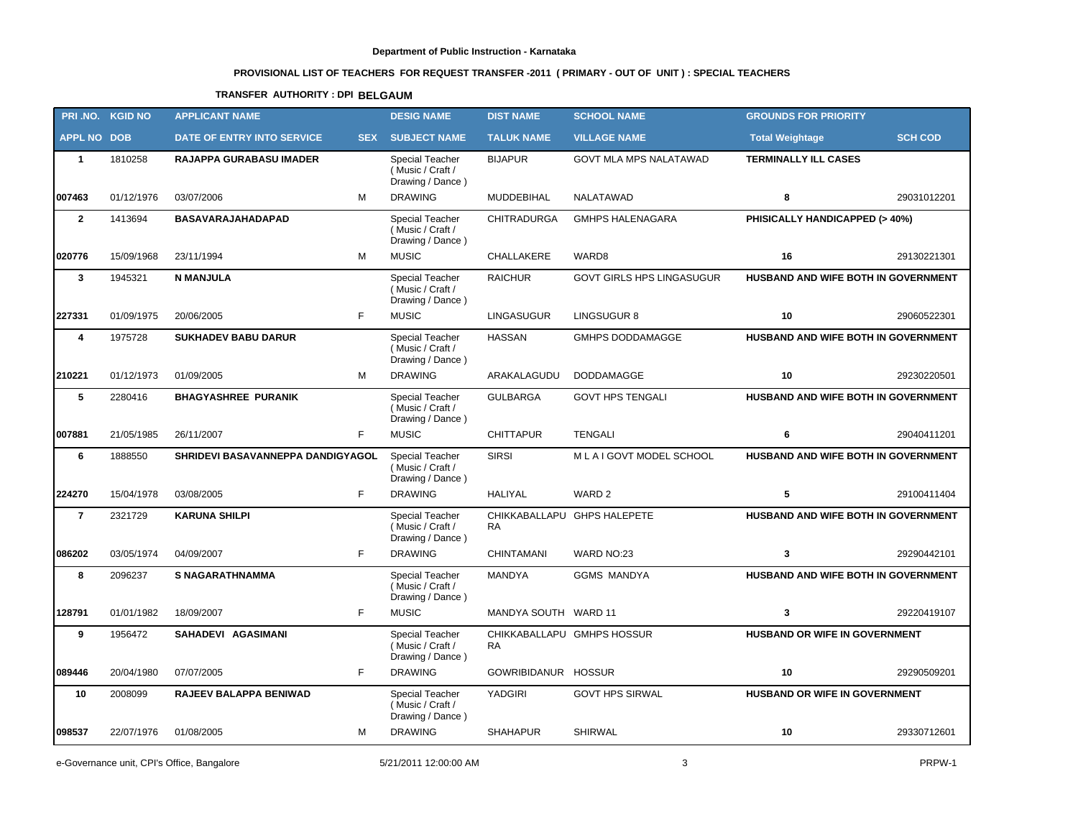# **PROVISIONAL LIST OF TEACHERS FOR REQUEST TRANSFER -2011 ( PRIMARY - OUT OF UNIT ) : SPECIAL TEACHERS**

## **TRANSFER AUTHORITY : DPI BELGAUM**

|                    | PRI.NO. KGID NO | <b>APPLICANT NAME</b>             |            | <b>DESIG NAME</b>                                       | <b>DIST NAME</b>                        | <b>SCHOOL NAME</b>               | <b>GROUNDS FOR PRIORITY</b>                |                |
|--------------------|-----------------|-----------------------------------|------------|---------------------------------------------------------|-----------------------------------------|----------------------------------|--------------------------------------------|----------------|
| <b>APPL NO DOB</b> |                 | DATE OF ENTRY INTO SERVICE        | <b>SEX</b> | <b>SUBJECT NAME</b>                                     | <b>TALUK NAME</b>                       | <b>VILLAGE NAME</b>              | <b>Total Weightage</b>                     | <b>SCH COD</b> |
| $\mathbf{1}$       | 1810258         | <b>RAJAPPA GURABASU IMADER</b>    |            | Special Teacher<br>(Music / Craft /<br>Drawing / Dance) | <b>BIJAPUR</b>                          | <b>GOVT MLA MPS NALATAWAD</b>    | <b>TERMINALLY ILL CASES</b>                |                |
| 007463             | 01/12/1976      | м<br>03/07/2006                   |            | <b>DRAWING</b>                                          | MUDDEBIHAL                              | NALATAWAD                        | 8                                          | 29031012201    |
| $\overline{2}$     | 1413694         | BASAVARAJAHADAPAD                 |            | Special Teacher<br>(Music / Craft /<br>Drawing / Dance) | <b>CHITRADURGA</b>                      | <b>GMHPS HALENAGARA</b>          | PHISICALLY HANDICAPPED (> 40%)             |                |
| 020776             | 15/09/1968      | 23/11/1994<br>м                   |            | <b>MUSIC</b>                                            | CHALLAKERE                              | WARD8                            | 16                                         | 29130221301    |
| $\mathbf{3}$       | 1945321         | <b>N MANJULA</b>                  |            | Special Teacher<br>(Music / Craft /<br>Drawing / Dance) | <b>RAICHUR</b>                          | <b>GOVT GIRLS HPS LINGASUGUR</b> | <b>HUSBAND AND WIFE BOTH IN GOVERNMENT</b> |                |
| 227331             | 01/09/1975      | F<br>20/06/2005                   |            | <b>MUSIC</b>                                            | <b>LINGASUGUR</b>                       | LINGSUGUR 8                      | 10                                         | 29060522301    |
| 4                  | 1975728         | <b>SUKHADEV BABU DARUR</b>        |            | Special Teacher<br>(Music / Craft /<br>Drawing / Dance) | <b>HASSAN</b>                           | <b>GMHPS DODDAMAGGE</b>          | HUSBAND AND WIFE BOTH IN GOVERNMENT        |                |
| 210221             | 01/12/1973      | M<br>01/09/2005                   |            | <b>DRAWING</b>                                          | ARAKALAGUDU                             | <b>DODDAMAGGE</b>                | 10                                         | 29230220501    |
| 5                  | 2280416         | <b>BHAGYASHREE PURANIK</b>        |            | Special Teacher<br>(Music / Craft /<br>Drawing / Dance) | <b>GULBARGA</b>                         | <b>GOVT HPS TENGALI</b>          | HUSBAND AND WIFE BOTH IN GOVERNMENT        |                |
| 007881             | 21/05/1985      | F.<br>26/11/2007                  |            | <b>MUSIC</b>                                            | <b>CHITTAPUR</b>                        | <b>TENGALI</b>                   | 6                                          | 29040411201    |
| 6                  | 1888550         | SHRIDEVI BASAVANNEPPA DANDIGYAGOL |            | Special Teacher<br>(Music / Craft /<br>Drawing / Dance) | <b>SIRSI</b>                            | MLAIGOVT MODEL SCHOOL            | HUSBAND AND WIFE BOTH IN GOVERNMENT        |                |
| 224270             | 15/04/1978      | 03/08/2005<br>F.                  |            | <b>DRAWING</b>                                          | <b>HALIYAL</b>                          | WARD 2                           | 5                                          | 29100411404    |
| $\overline{7}$     | 2321729         | <b>KARUNA SHILPI</b>              |            | Special Teacher<br>(Music / Craft /<br>Drawing / Dance) | <b>RA</b>                               | CHIKKABALLAPU GHPS HALEPETE      | HUSBAND AND WIFE BOTH IN GOVERNMENT        |                |
| 086202             | 03/05/1974      | F.<br>04/09/2007                  |            | <b>DRAWING</b>                                          | <b>CHINTAMANI</b>                       | WARD NO:23                       | 3                                          | 29290442101    |
| 8                  | 2096237         | <b>S NAGARATHNAMMA</b>            |            | Special Teacher<br>(Music / Craft /<br>Drawing / Dance) | <b>MANDYA</b>                           | <b>GGMS MANDYA</b>               | HUSBAND AND WIFE BOTH IN GOVERNMENT        |                |
| 128791             | 01/01/1982      | F<br>18/09/2007                   |            | <b>MUSIC</b>                                            | MANDYA SOUTH WARD 11                    |                                  | 3                                          | 29220419107    |
| 9                  | 1956472         | SAHADEVI AGASIMANI                |            | Special Teacher<br>(Music / Craft /<br>Drawing / Dance) | CHIKKABALLAPU GMHPS HOSSUR<br><b>RA</b> |                                  | <b>HUSBAND OR WIFE IN GOVERNMENT</b>       |                |
| 089446             | 20/04/1980      | F.<br>07/07/2005                  |            | <b>DRAWING</b>                                          | GOWRIBIDANUR HOSSUR                     |                                  | 10                                         | 29290509201    |
| 10                 | 2008099         | RAJEEV BALAPPA BENIWAD            |            | Special Teacher<br>(Music / Craft /<br>Drawing / Dance) | YADGIRI                                 | <b>GOVT HPS SIRWAL</b>           | HUSBAND OR WIFE IN GOVERNMENT              |                |
| 098537             | 22/07/1976      | 01/08/2005<br>M                   |            | <b>DRAWING</b>                                          | <b>SHAHAPUR</b>                         | <b>SHIRWAL</b>                   | 10                                         | 29330712601    |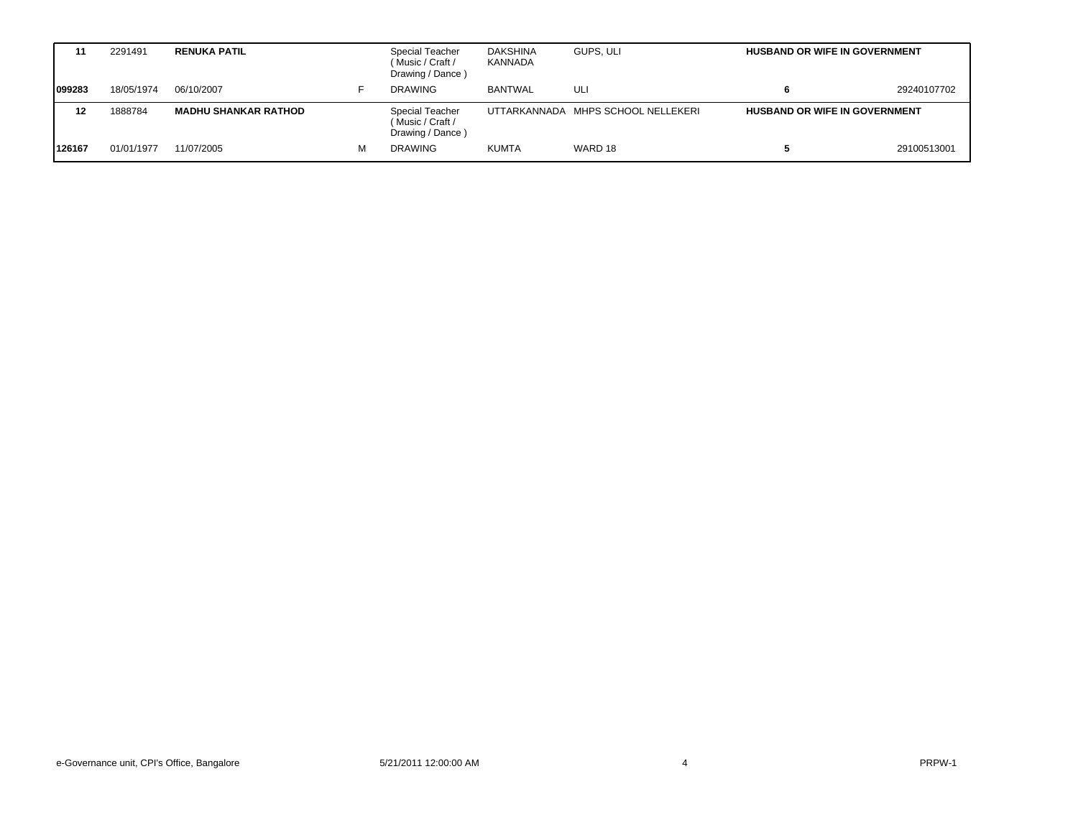|        | 2291491    | <b>RENUKA PATIL</b>         |   | <b>Special Teacher</b><br>(Music / Craft /<br>Drawing / Dance) | <b>DAKSHINA</b><br>KANNADA | GUPS, ULI                          | <b>HUSBAND OR WIFE IN GOVERNMENT</b> |             |
|--------|------------|-----------------------------|---|----------------------------------------------------------------|----------------------------|------------------------------------|--------------------------------------|-------------|
| 099283 | 18/05/1974 | 06/10/2007                  |   | <b>DRAWING</b>                                                 | <b>BANTWAL</b>             | ULI                                |                                      | 29240107702 |
| 12     | 1888784    | <b>MADHU SHANKAR RATHOD</b> |   | <b>Special Teacher</b><br>(Music / Craft /<br>Drawing / Dance) |                            | UTTARKANNADA MHPS SCHOOL NELLEKERI | <b>HUSBAND OR WIFE IN GOVERNMENT</b> |             |
| 126167 | 01/01/1977 | 11/07/2005                  | М | <b>DRAWING</b>                                                 | <b>KUMTA</b>               | WARD 18                            |                                      | 29100513001 |